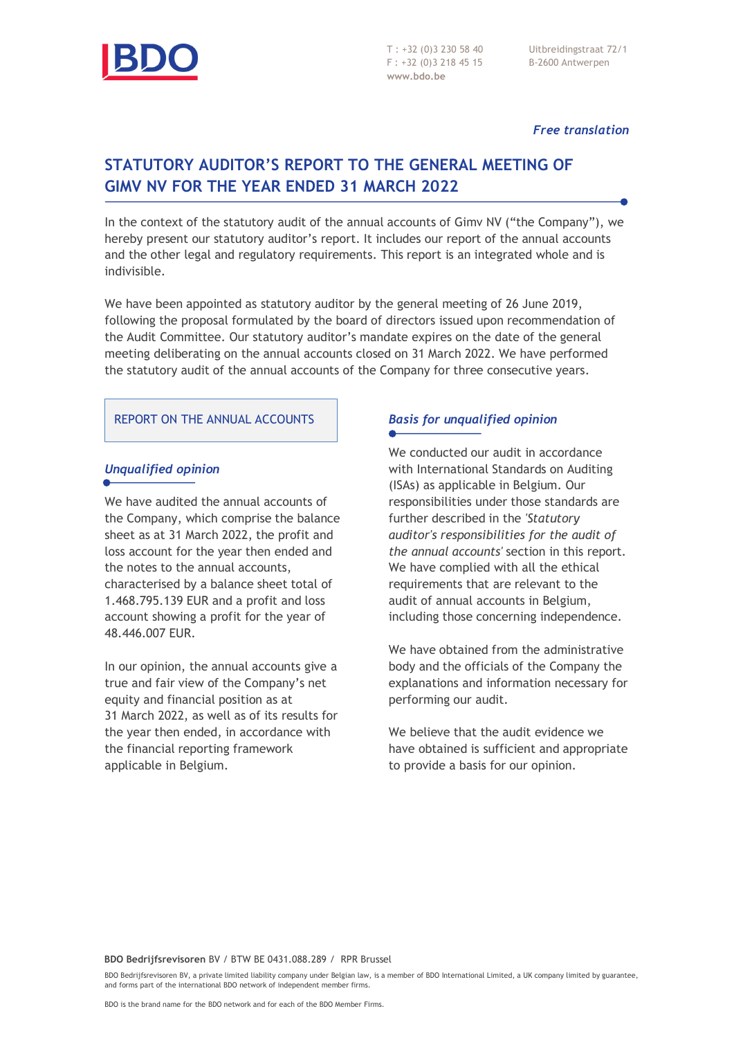

T : +32 (0)3 230 58 40 F : +32 (0)3 218 45 15 **www.bdo.be**

Uitbreidingstraat 72/1 B-2600 Antwerpen

#### *Free translation*

# **STATUTORY AUDITOR'S REPORT TO THE GENERAL MEETING OF GIMV NV FOR THE YEAR ENDED 31 MARCH 2022**

In the context of the statutory audit of the annual accounts of Gimv NV ("the Company"), we hereby present our statutory auditor's report. It includes our report of the annual accounts and the other legal and regulatory requirements. This report is an integrated whole and is indivisible.

We have been appointed as statutory auditor by the general meeting of 26 June 2019, following the proposal formulated by the board of directors issued upon recommendation of the Audit Committee. Our statutory auditor's mandate expires on the date of the general meeting deliberating on the annual accounts closed on 31 March 2022. We have performed the statutory audit of the annual accounts of the Company for three consecutive years.

#### REPORT ON THE ANNUAL ACCOUNTS

### *Unqualified opinion*

We have audited the annual accounts of the Company, which comprise the balance sheet as at 31 March 2022, the profit and loss account for the year then ended and the notes to the annual accounts, characterised by a balance sheet total of 1.468.795.139 EUR and a profit and loss account showing a profit for the year of 48.446.007 EUR.

In our opinion, the annual accounts give a true and fair view of the Company's net equity and financial position as at 31 March 2022, as well as of its results for the year then ended, in accordance with the financial reporting framework applicable in Belgium.

### *Basis for unqualified opinion*

We conducted our audit in accordance with International Standards on Auditing (ISAs) as applicable in Belgium. Our responsibilities under those standards are further described in the *'Statutory auditor's responsibilities for the audit of the annual accounts'* section in this report. We have complied with all the ethical requirements that are relevant to the audit of annual accounts in Belgium, including those concerning independence.

We have obtained from the administrative body and the officials of the Company the explanations and information necessary for performing our audit.

We believe that the audit evidence we have obtained is sufficient and appropriate to provide a basis for our opinion.

BDO Bedrijfsrevisoren BV, a private limited liability company under Belgian law, is a member of BDO International Limited, a UK company limited by guarantee, and forms part of the international BDO network of independent member firms.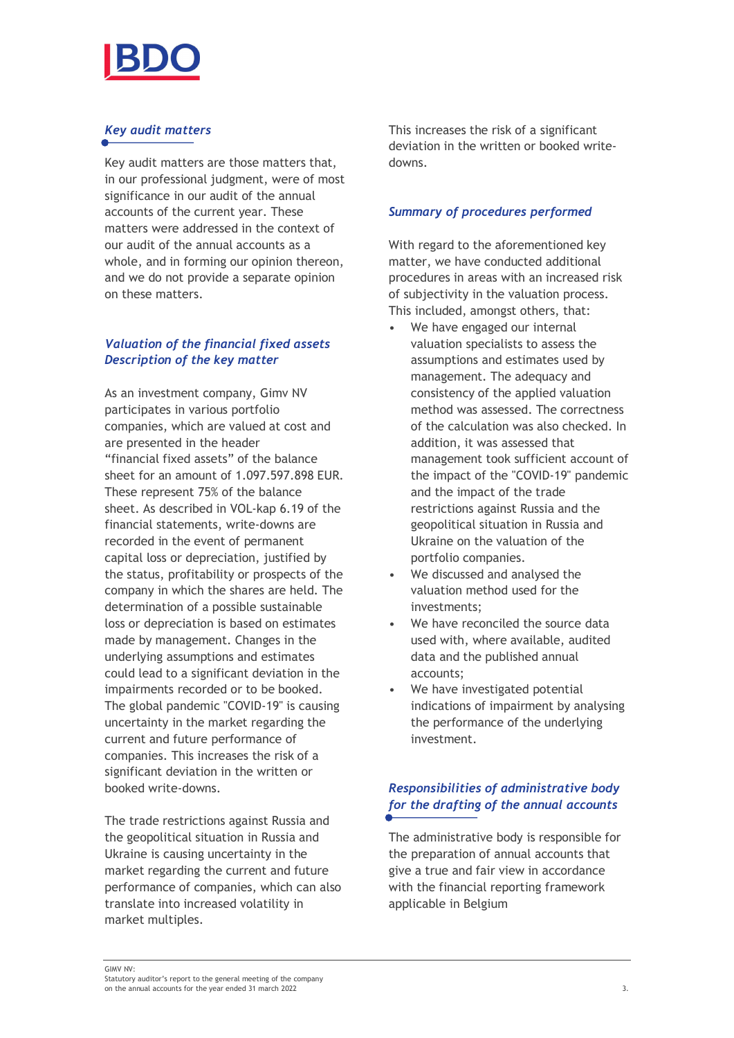

## *Key audit matters*

Key audit matters are those matters that, in our professional judgment, were of most significance in our audit of the annual accounts of the current year. These matters were addressed in the context of our audit of the annual accounts as a whole, and in forming our opinion thereon, and we do not provide a separate opinion on these matters.

### *Valuation of the financial fixed assets Description of the key matter*

As an investment company, Gimv NV participates in various portfolio companies, which are valued at cost and are presented in the header "financial fixed assets" of the balance sheet for an amount of 1.097.597.898 EUR. These represent 75% of the balance sheet. As described in VOL-kap 6.19 of the financial statements, write-downs are recorded in the event of permanent capital loss or depreciation, justified by the status, profitability or prospects of the company in which the shares are held. The determination of a possible sustainable loss or depreciation is based on estimates made by management. Changes in the underlying assumptions and estimates could lead to a significant deviation in the impairments recorded or to be booked. The global pandemic "COVID-19" is causing uncertainty in the market regarding the current and future performance of companies. This increases the risk of a significant deviation in the written or booked write-downs.

The trade restrictions against Russia and the geopolitical situation in Russia and Ukraine is causing uncertainty in the market regarding the current and future performance of companies, which can also translate into increased volatility in market multiples.

This increases the risk of a significant deviation in the written or booked writedowns.

### *Summary of procedures performed*

With regard to the aforementioned key matter, we have conducted additional procedures in areas with an increased risk of subjectivity in the valuation process. This included, amongst others, that:

- We have engaged our internal valuation specialists to assess the assumptions and estimates used by management. The adequacy and consistency of the applied valuation method was assessed. The correctness of the calculation was also checked. In addition, it was assessed that management took sufficient account of the impact of the "COVID-19" pandemic and the impact of the trade restrictions against Russia and the geopolitical situation in Russia and Ukraine on the valuation of the portfolio companies.
- We discussed and analysed the valuation method used for the investments;
- We have reconciled the source data used with, where available, audited data and the published annual accounts;
- We have investigated potential indications of impairment by analysing the performance of the underlying investment.

## *Responsibilities of administrative body for the drafting of the annual accounts*

The administrative body is responsible for the preparation of annual accounts that give a true and fair view in accordance with the financial reporting framework applicable in Belgium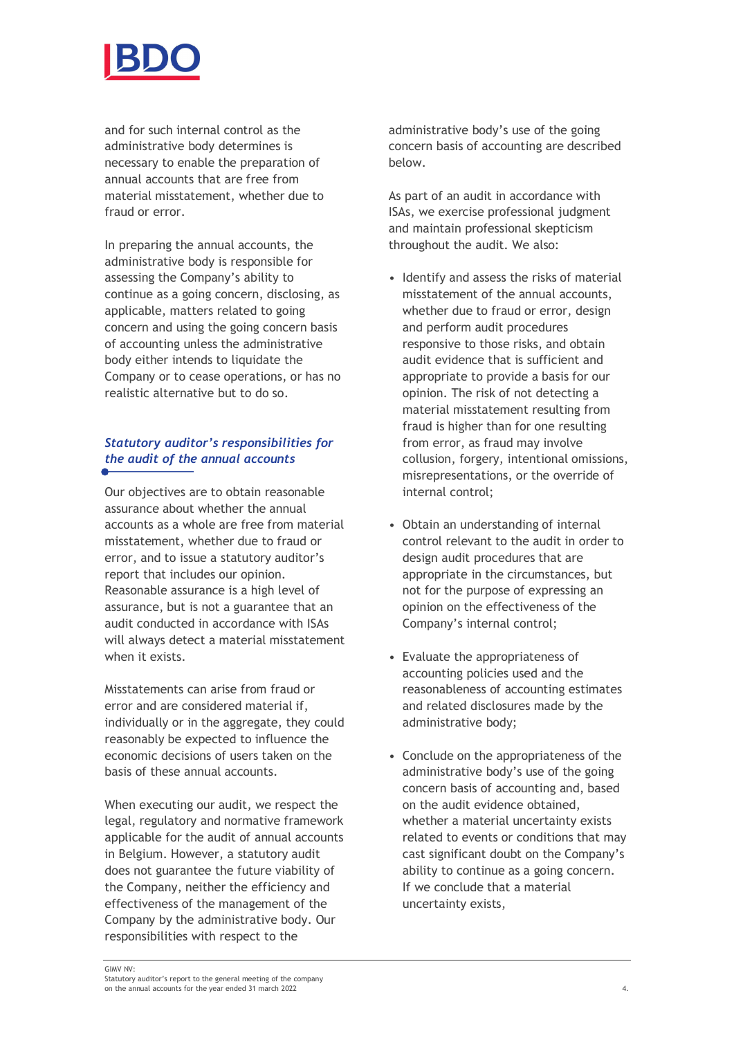

and for such internal control as the administrative body determines is necessary to enable the preparation of annual accounts that are free from material misstatement, whether due to fraud or error.

In preparing the annual accounts, the administrative body is responsible for assessing the Company's ability to continue as a going concern, disclosing, as applicable, matters related to going concern and using the going concern basis of accounting unless the administrative body either intends to liquidate the Company or to cease operations, or has no realistic alternative but to do so.

# *Statutory auditor's responsibilities for the audit of the annual accounts*

Our objectives are to obtain reasonable assurance about whether the annual accounts as a whole are free from material misstatement, whether due to fraud or error, and to issue a statutory auditor's report that includes our opinion. Reasonable assurance is a high level of assurance, but is not a guarantee that an audit conducted in accordance with ISAs will always detect a material misstatement when it exists.

Misstatements can arise from fraud or error and are considered material if, individually or in the aggregate, they could reasonably be expected to influence the economic decisions of users taken on the basis of these annual accounts.

When executing our audit, we respect the legal, regulatory and normative framework applicable for the audit of annual accounts in Belgium. However, a statutory audit does not guarantee the future viability of the Company, neither the efficiency and effectiveness of the management of the Company by the administrative body. Our responsibilities with respect to the

administrative body's use of the going concern basis of accounting are described below.

As part of an audit in accordance with ISAs, we exercise professional judgment and maintain professional skepticism throughout the audit. We also:

- Identify and assess the risks of material misstatement of the annual accounts, whether due to fraud or error, design and perform audit procedures responsive to those risks, and obtain audit evidence that is sufficient and appropriate to provide a basis for our opinion. The risk of not detecting a material misstatement resulting from fraud is higher than for one resulting from error, as fraud may involve collusion, forgery, intentional omissions, misrepresentations, or the override of internal control;
- Obtain an understanding of internal control relevant to the audit in order to design audit procedures that are appropriate in the circumstances, but not for the purpose of expressing an opinion on the effectiveness of the Company's internal control;
- Evaluate the appropriateness of accounting policies used and the reasonableness of accounting estimates and related disclosures made by the administrative body;
- Conclude on the appropriateness of the administrative body's use of the going concern basis of accounting and, based on the audit evidence obtained, whether a material uncertainty exists related to events or conditions that may cast significant doubt on the Company's ability to continue as a going concern. If we conclude that a material uncertainty exists,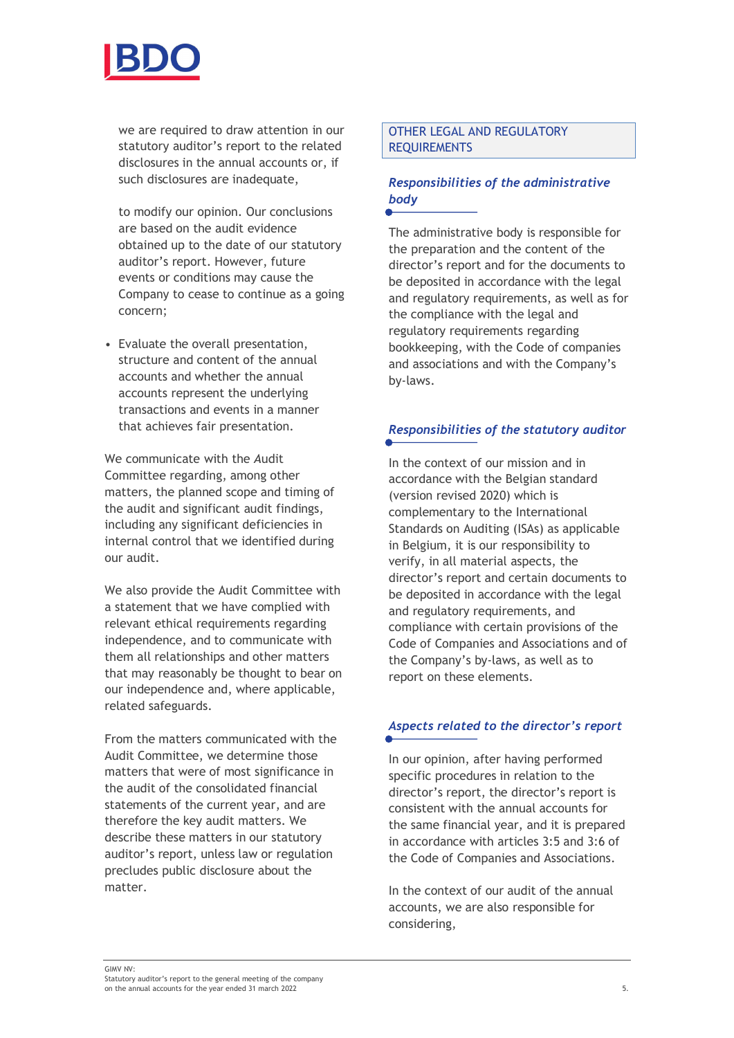

we are required to draw attention in our statutory auditor's report to the related disclosures in the annual accounts or, if such disclosures are inadequate.

to modify our opinion. Our conclusions are based on the audit evidence obtained up to the date of our statutory auditor's report. However, future events or conditions may cause the Company to cease to continue as a going concern;

• Evaluate the overall presentation, structure and content of the annual accounts and whether the annual accounts represent the underlying transactions and events in a manner that achieves fair presentation.

We communicate with the *A*udit Committee regarding, among other matters, the planned scope and timing of the audit and significant audit findings, including any significant deficiencies in internal control that we identified during our audit.

We also provide the Audit Committee with a statement that we have complied with relevant ethical requirements regarding independence, and to communicate with them all relationships and other matters that may reasonably be thought to bear on our independence and, where applicable, related safeguards.

From the matters communicated with the Audit Committee, we determine those matters that were of most significance in the audit of the consolidated financial statements of the current year, and are therefore the key audit matters. We describe these matters in our statutory auditor's report, unless law or regulation precludes public disclosure about the matter.

### OTHER LEGAL AND REGULATORY REQUIREMENTS

## *Responsibilities of the administrative body*

The administrative body is responsible for the preparation and the content of the director's report and for the documents to be deposited in accordance with the legal and regulatory requirements, as well as for the compliance with the legal and regulatory requirements regarding bookkeeping, with the Code of companies and associations and with the Company's by-laws.

## *Responsibilities of the statutory auditor*

In the context of our mission and in accordance with the Belgian standard (version revised 2020) which is complementary to the International Standards on Auditing (ISAs) as applicable in Belgium, it is our responsibility to verify, in all material aspects, the director's report and certain documents to be deposited in accordance with the legal and regulatory requirements, and compliance with certain provisions of the Code of Companies and Associations and of the Company's by-laws, as well as to report on these elements.

## *Aspects related to the director's report*

In our opinion, after having performed specific procedures in relation to the director's report, the director's report is consistent with the annual accounts for the same financial year, and it is prepared in accordance with articles 3:5 and 3:6 of the Code of Companies and Associations.

In the context of our audit of the annual accounts, we are also responsible for considering,